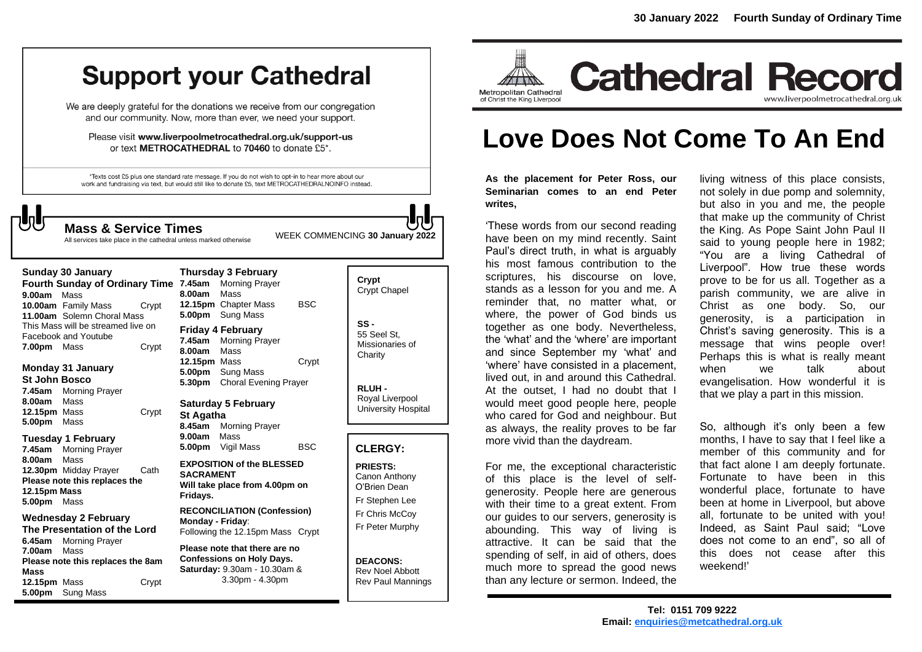# **Support your Cathedral**

We are deeply grateful for the donations we receive from our congregation and our community. Now, more than ever, we need your support.

Please visit www.liverpoolmetrocathedral.org.uk/support-us or text METROCATHEDRAL to 70460 to donate £5\*.

\*Texts cost £5 plus one standard rate message. If you do not wish to opt-in to hear more about our work and fundraising via text, but would still like to donate £5, text METROCATHEDRALNOINFO instead.

**Thursday 3 February**

All services take place in the cathedral unless marked otherwise

WEEK COMMENCING **<sup>30</sup> January 2022 Mass & Service Times**

#### **Sunday 30 January**

**Fourth Sunday of Ordinary Time 7.45am** Morning Prayer **9.00am** Mass **10.00am** Family Mass Crypt **11.00am** Solemn Choral Mass This Mass will be streamed live on Facebook and Youtube **7.00pm** Mass Crypt

#### **Monday 31 January St John Bosco 7.45am** Morning Prayer

**8.00am** Mass **12.15pm** Mass Crypt **5.00pm** Mass

#### **Tuesday 1 February**

**7.45am** Morning Prayer **8.00am** Mass **12.30pm** Midday Prayer Cath **Please note this replaces the 12.15pm Mass 5.00pm** Mass

#### **Wednesday 2 February The Presentation of the Lord**

**6.45am** Morning Prayer **7.00am** Mass **Please note this replaces the 8am Mass 12.15pm** Mass Crypt **5.00pm** Sung Mass

**8.00am** Mass **12.15pm** Chapter Mass BSC **5.00pm** Sung Mass **Friday 4 February 7.45am** Morning Prayer **8.00am** Mass **12.15pm** Mass Crypt **5.00pm** Sung Mass **5.30pm** Choral Evening Prayer

**Saturday 5 February St Agatha 8.45am** Morning Prayer **9.00am** Mass **5.00pm** Vigil Mass BSC

#### **EXPOSITION of the BLESSED SACRAMENT Will take place from 4.00pm on Fridays.**

**RECONCILIATION (Confession) Monday - Friday**: Following the 12.15pm Mass Crypt

**Please note that there are no Confessions on Holy Days. Saturday:** 9.30am - 10.30am & 3.30pm - 4.30pm

#### **Crypt**  Crypt Chapel

**SS -** 55 Seel St, Missionaries of **Charity** 

**RLUH -** Royal Liverpool University Hospital

#### **CLERGY:**

**PRIESTS:** Canon Anthony O'Brien *Dean* Fr Stephen Lee Fr Chris McCoy Fr Peter Murphy

#### **DEACONS:** Rev Noel Abbott Rev Paul Mannings



# **Love Does Not Come To An End**

**As the placement for Peter Ross, our Seminarian comes to an end Peter writes,** 

'These words from our second reading have been on my mind recently. Saint Paul's direct truth, in what is arguably his most famous contribution to the scriptures, his discourse on love, stands as a lesson for you and me. A reminder that, no matter what, or where, the power of God binds us together as one body. Nevertheless, the 'what' and the 'where' are important and since September my 'what' and 'where' have consisted in a placement, lived out, in and around this Cathedral. At the outset, I had no doubt that I would meet good people here, people who cared for God and neighbour. But as always, the reality proves to be far more vivid than the daydream.

For me, the exceptional characteristic of this place is the level of selfgenerosity. People here are generous with their time to a great extent. From our guides to our servers, generosity is abounding. This way of living is attractive. It can be said that the spending of self, in aid of others, does much more to spread the good news than any lecture or sermon. Indeed, the

living witness of this place consists, not solely in due pomp and solemnity, but also in you and me, the people that make up the community of Christ the King. As Pope Saint John Paul II said to young people here in 1982; "You are a living Cathedral of Liverpool". How true these words prove to be for us all. Together as a parish community, we are alive in Christ as one body. So, our generosity, is a participation in Christ's saving generosity. This is a message that wins people over! Perhaps this is what is really meant when we talk about evangelisation. How wonderful it is that we play a part in this mission.

So, although it's only been a few months, I have to say that I feel like a member of this community and for that fact alone I am deeply fortunate. Fortunate to have been in this wonderful place, fortunate to have been at home in Liverpool, but above all, fortunate to be united with you! Indeed, as Saint Paul said; "Love does not come to an end", so all of this does not cease after this weekend!'